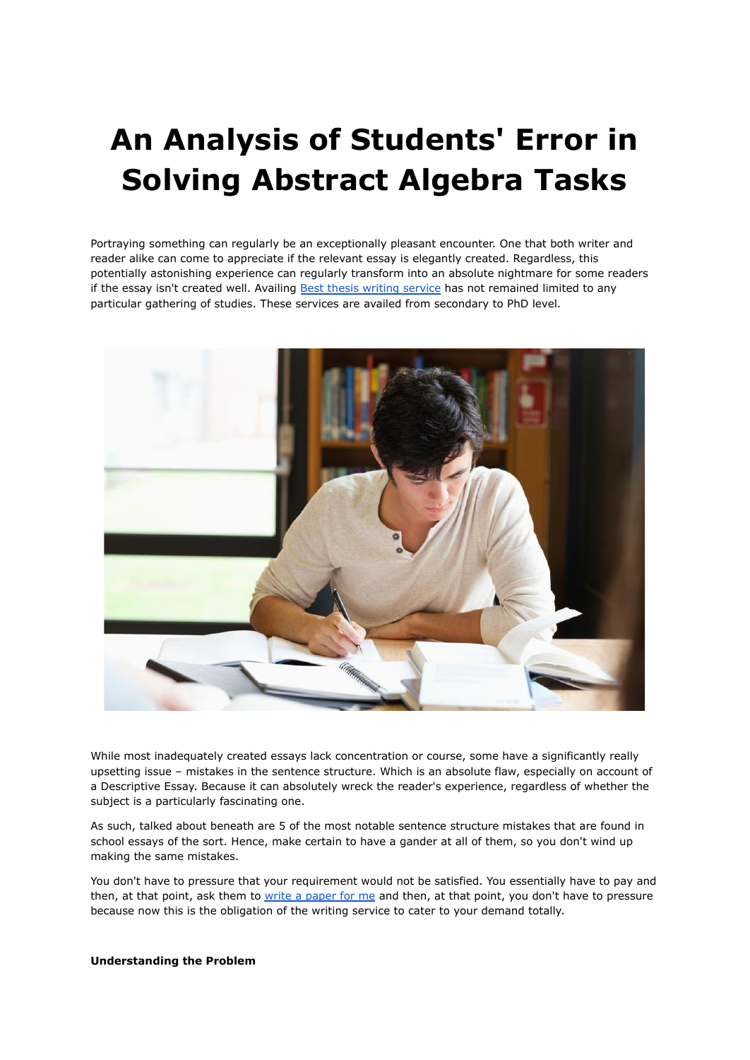# **An Analysis of Students' Error in Solving Abstract Algebra Tasks**

Portraying something can regularly be an exceptionally pleasant encounter. One that both writer and reader alike can come to appreciate if the relevant essay is elegantly created. Regardless, this potentially astonishing experience can regularly transform into an absolute nightmare for some readers if the essay isn't created well. Availing Best thesis writing [service](https://www.gradschoolgenius.com/thesis-writing-service) has not remained limited to any particular gathering of studies. These services are availed from secondary to PhD level.



While most inadequately created essays lack concentration or course, some have a significantly really upsetting issue – mistakes in the sentence structure. Which is an absolute flaw, especially on account of a Descriptive Essay. Because it can absolutely wreck the reader's experience, regardless of whether the subject is a particularly fascinating one.

As such, talked about beneath are 5 of the most notable sentence structure mistakes that are found in school essays of the sort. Hence, make certain to have a gander at all of them, so you don't wind up making the same mistakes.

You don't have to pressure that your requirement would not be satisfied. You essentially have to pay and then, at that point, ask them to write a [paper](https://www.myperfectpaper.net/) for me and then, at that point, you don't have to pressure because now this is the obligation of the writing service to cater to your demand totally.

**Understanding the Problem**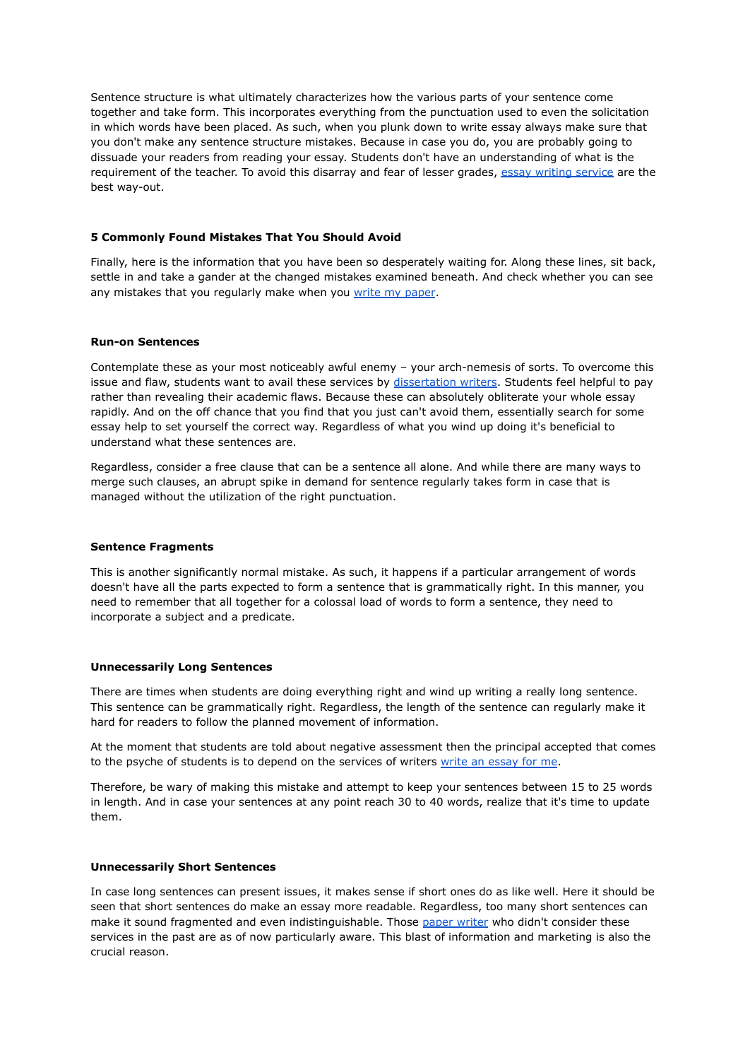Sentence structure is what ultimately characterizes how the various parts of your sentence come together and take form. This incorporates everything from the punctuation used to even the solicitation in which words have been placed. As such, when you plunk down to write essay always make sure that you don't make any sentence structure mistakes. Because in case you do, you are probably going to dissuade your readers from reading your essay. Students don't have an understanding of what is the requirement of the teacher. To avoid this disarray and fear of lesser grades, essay writing [service](https://www.essaywritingservice.college/) are the best way-out.

### **5 Commonly Found Mistakes That You Should Avoid**

Finally, here is the information that you have been so desperately waiting for. Along these lines, sit back, settle in and take a gander at the changed mistakes examined beneath. And check whether you can see any mistakes that you regularly make when you write my [paper](https://www.sharkpapers.com/write-my-paper).

#### **Run-on Sentences**

Contemplate these as your most noticeably awful enemy – your arch-nemesis of sorts. To overcome this issue and flaw, students want to avail these services by [dissertation](https://www.gradschoolgenius.com/professional-dissertation-writers) writers. Students feel helpful to pay rather than revealing their academic flaws. Because these can absolutely obliterate your whole essay rapidly. And on the off chance that you find that you just can't avoid them, essentially search for some essay help to set yourself the correct way. Regardless of what you wind up doing it's beneficial to understand what these sentences are.

Regardless, consider a free clause that can be a sentence all alone. And while there are many ways to merge such clauses, an abrupt spike in demand for sentence regularly takes form in case that is managed without the utilization of the right punctuation.

#### **Sentence Fragments**

This is another significantly normal mistake. As such, it happens if a particular arrangement of words doesn't have all the parts expected to form a sentence that is grammatically right. In this manner, you need to remember that all together for a colossal load of words to form a sentence, they need to incorporate a subject and a predicate.

### **Unnecessarily Long Sentences**

There are times when students are doing everything right and wind up writing a really long sentence. This sentence can be grammatically right. Regardless, the length of the sentence can regularly make it hard for readers to follow the planned movement of information.

At the moment that students are told about negative assessment then the principal accepted that comes to the psyche of students is to depend on the services of writers write an [essay](https://www.writemyessay.help/) for me.

Therefore, be wary of making this mistake and attempt to keep your sentences between 15 to 25 words in length. And in case your sentences at any point reach 30 to 40 words, realize that it's time to update them.

#### **Unnecessarily Short Sentences**

In case long sentences can present issues, it makes sense if short ones do as like well. Here it should be seen that short sentences do make an essay more readable. Regardless, too many short sentences can make it sound fragmented and even indistinguishable. Those paper [writer](https://www.myperfectpaper.net/) who didn't consider these services in the past are as of now particularly aware. This blast of information and marketing is also the crucial reason.